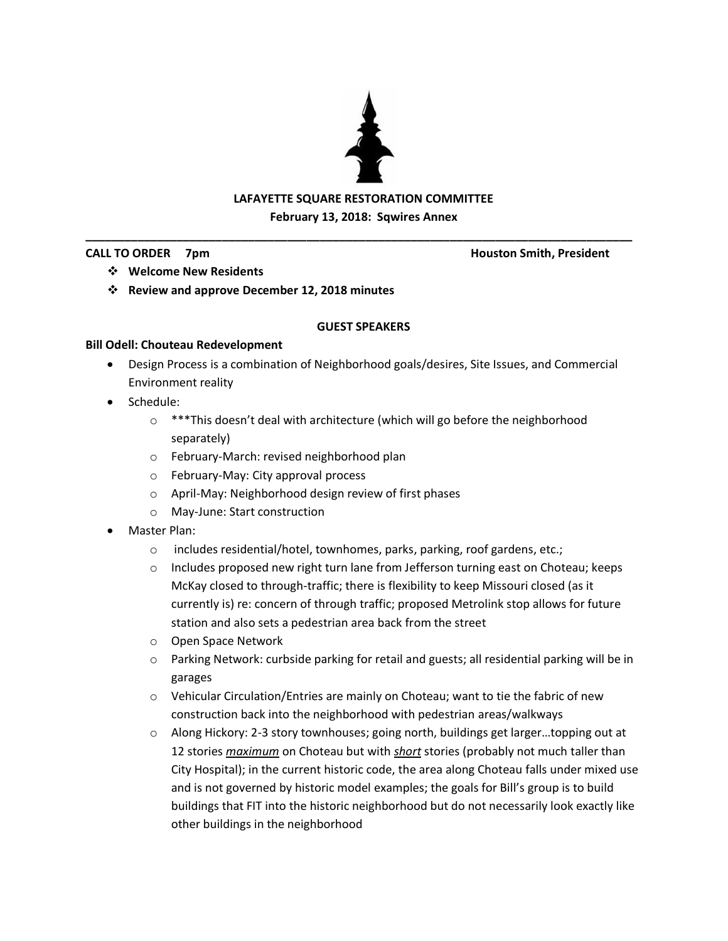

### **LAFAYETTE SQUARE RESTORATION COMMITTEE February 13, 2018: Sqwires Annex**

**\_\_\_\_\_\_\_\_\_\_\_\_\_\_\_\_\_\_\_\_\_\_\_\_\_\_\_\_\_\_\_\_\_\_\_\_\_\_\_\_\_\_\_\_\_\_\_\_\_\_\_\_\_\_\_\_\_\_\_\_\_\_\_\_\_\_\_\_\_\_\_\_\_\_\_\_\_\_\_\_\_\_\_\_**

**CALL TO ORDER 7pm Houston Smith, President**

- **Welcome New Residents**
- **Review and approve December 12, 2018 minutes**

### **GUEST SPEAKERS**

### **Bill Odell: Chouteau Redevelopment**

- Design Process is a combination of Neighborhood goals/desires, Site Issues, and Commercial Environment reality
- Schedule:
	- o \*\*\*This doesn't deal with architecture (which will go before the neighborhood separately)
	- o February-March: revised neighborhood plan
	- o February-May: City approval process
	- o April-May: Neighborhood design review of first phases
	- o May-June: Start construction
- Master Plan:
	- o includes residential/hotel, townhomes, parks, parking, roof gardens, etc.;
	- o Includes proposed new right turn lane from Jefferson turning east on Choteau; keeps McKay closed to through-traffic; there is flexibility to keep Missouri closed (as it currently is) re: concern of through traffic; proposed Metrolink stop allows for future station and also sets a pedestrian area back from the street
	- o Open Space Network
	- o Parking Network: curbside parking for retail and guests; all residential parking will be in garages
	- $\circ$  Vehicular Circulation/Entries are mainly on Choteau; want to tie the fabric of new construction back into the neighborhood with pedestrian areas/walkways
	- $\circ$  Along Hickory: 2-3 story townhouses; going north, buildings get larger...topping out at 12 stories *maximum* on Choteau but with *short* stories (probably not much taller than City Hospital); in the current historic code, the area along Choteau falls under mixed use and is not governed by historic model examples; the goals for Bill's group is to build buildings that FIT into the historic neighborhood but do not necessarily look exactly like other buildings in the neighborhood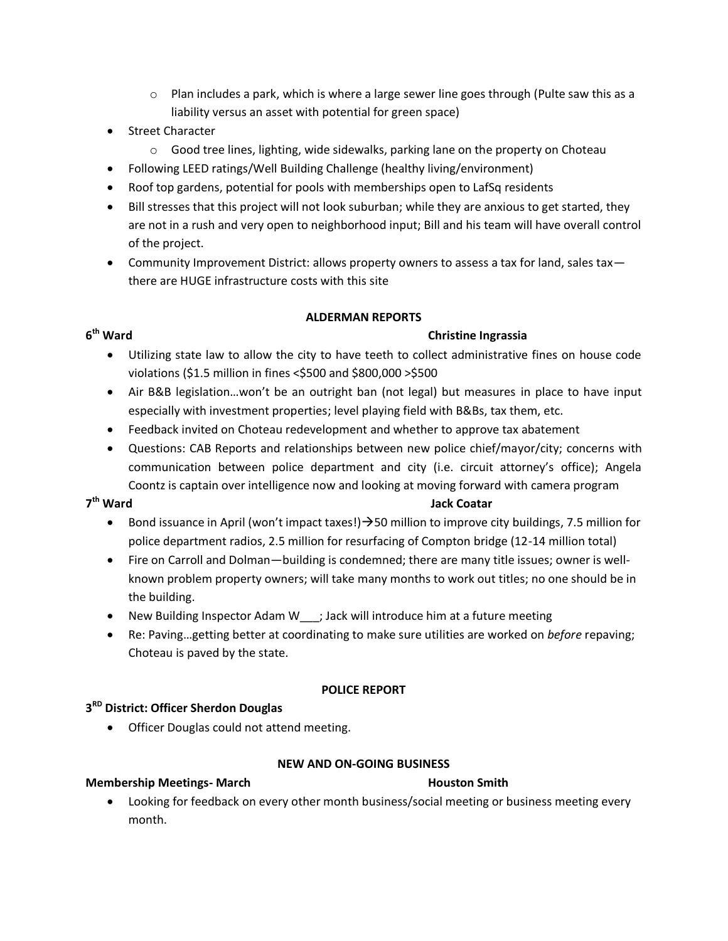- $\circ$  Plan includes a park, which is where a large sewer line goes through (Pulte saw this as a liability versus an asset with potential for green space)
- Street Character
	- o Good tree lines, lighting, wide sidewalks, parking lane on the property on Choteau
- Following LEED ratings/Well Building Challenge (healthy living/environment)
- Roof top gardens, potential for pools with memberships open to LafSq residents
- Bill stresses that this project will not look suburban; while they are anxious to get started, they are not in a rush and very open to neighborhood input; Bill and his team will have overall control of the project.
- Community Improvement District: allows property owners to assess a tax for land, sales tax there are HUGE infrastructure costs with this site

### **ALDERMAN REPORTS**

### **Christine Ingrassia**

- Utilizing state law to allow the city to have teeth to collect administrative fines on house code violations (\$1.5 million in fines <\$500 and \$800,000 >\$500
- Air B&B legislation…won't be an outright ban (not legal) but measures in place to have input especially with investment properties; level playing field with B&Bs, tax them, etc.
- Feedback invited on Choteau redevelopment and whether to approve tax abatement
- Questions: CAB Reports and relationships between new police chief/mayor/city; concerns with communication between police department and city (i.e. circuit attorney's office); Angela Coontz is captain over intelligence now and looking at moving forward with camera program

### 7<sup>th</sup> Ward

### **Jack Coatar**

- **Bond issuance in April (won't impact taxes!)**  $\rightarrow$  **50 million to improve city buildings, 7.5 million for** police department radios, 2.5 million for resurfacing of Compton bridge (12-14 million total)
- Fire on Carroll and Dolman—building is condemned; there are many title issues; owner is wellknown problem property owners; will take many months to work out titles; no one should be in the building.
- New Building Inspector Adam W\_\_\_; Jack will introduce him at a future meeting
- Re: Paving…getting better at coordinating to make sure utilities are worked on *before* repaving; Choteau is paved by the state.

### **POLICE REPORT**

## **3 RD District: Officer Sherdon Douglas**

• Officer Douglas could not attend meeting.

### **NEW AND ON-GOING BUSINESS**

### **Membership Meetings- March Houston Smith**

 Looking for feedback on every other month business/social meeting or business meeting every month.

# $6<sup>th</sup>$  Ward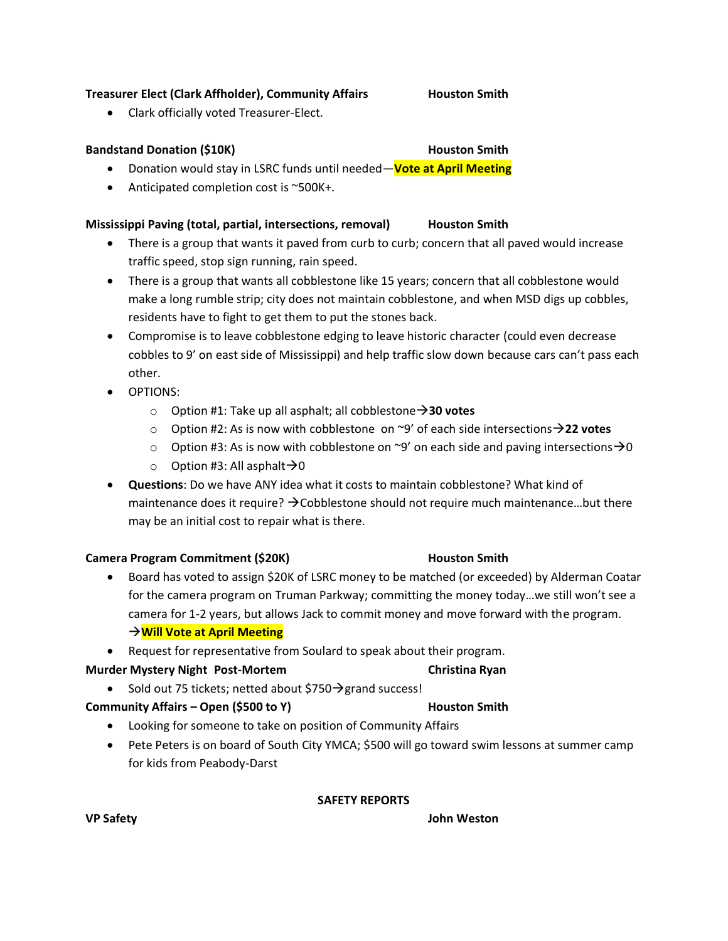### **Treasurer Elect (Clark Affholder), Community Affairs Houston Smith**

Clark officially voted Treasurer-Elect.

### **Bandstand Donation (\$10K) Houston Smith**

### Donation would stay in LSRC funds until needed—**Vote at April Meeting**

● Anticipated completion cost is ~500K+.

### **Mississippi Paving (total, partial, intersections, removal) Houston Smith**

- There is a group that wants it paved from curb to curb; concern that all paved would increase traffic speed, stop sign running, rain speed.
- There is a group that wants all cobblestone like 15 years; concern that all cobblestone would make a long rumble strip; city does not maintain cobblestone, and when MSD digs up cobbles, residents have to fight to get them to put the stones back.
- Compromise is to leave cobblestone edging to leave historic character (could even decrease cobbles to 9' on east side of Mississippi) and help traffic slow down because cars can't pass each other.
- OPTIONS:
	- o Option #1: Take up all asphalt; all cobblestone**30 votes**
	- o Option #2: As is now with cobblestone on ~9' of each side intersections**22 votes**
	- o Option #3: As is now with cobblestone on ~9' on each side and paving intersections  $\rightarrow$  0
	- $\circ$  Option #3: All asphalt  $\rightarrow$  0
- **Questions**: Do we have ANY idea what it costs to maintain cobblestone? What kind of maintenance does it require?  $\rightarrow$  Cobblestone should not require much maintenance...but there may be an initial cost to repair what is there.

### **Camera Program Commitment (\$20K) Houston Smith**

- Board has voted to assign \$20K of LSRC money to be matched (or exceeded) by Alderman Coatar for the camera program on Truman Parkway; committing the money today…we still won't see a camera for 1-2 years, but allows Jack to commit money and move forward with the program. **Will Vote at April Meeting**
- Request for representative from Soulard to speak about their program.

### **Murder Mystery Night Post-Mortem Christina Ryan**

• Sold out 75 tickets; netted about \$750 $\rightarrow$ grand success!

### **Community Affairs – Open (\$500 to Y) The Community Affairs – Open (\$500 to Y)** And Muston Smith

- Looking for someone to take on position of Community Affairs
- Pete Peters is on board of South City YMCA; \$500 will go toward swim lessons at summer camp for kids from Peabody-Darst

### **SAFETY REPORTS**

**VP Safety John Weston**